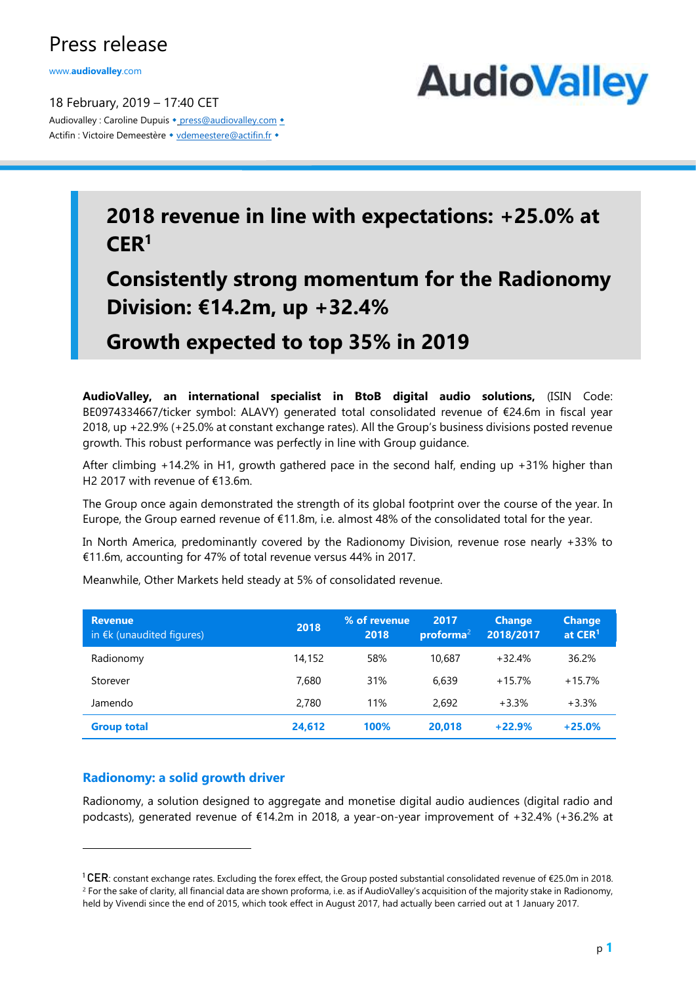## Press release

www.**[audiovalley](http://www.audiovalley.com/)**.com

18 February, 2019 – 17:40 CET Audiovalley : Caroline Dupuis • [press@audiovalley.com](mailto:press@audiovalley.com) • Actifin : Victoire Demeestère • [vdemeestere@actifin.fr](mailto:vdemeestere@actifin.fr?subject=AUDIOVALLEY%20Question) •



# **2018 revenue in line with expectations: +25.0% at CER<sup>1</sup>**

**Consistently strong momentum for the Radionomy Division: €14.2m, up +32.4%** 

**Growth expected to top 35% in 2019**

**AudioValley, an international specialist in BtoB digital audio solutions,** (ISIN Code: BE0974334667/ticker symbol: ALAVY) generated total consolidated revenue of €24.6m in fiscal year 2018, up +22.9% (+25.0% at constant exchange rates). All the Group's business divisions posted revenue growth. This robust performance was perfectly in line with Group guidance.

After climbing +14.2% in H1, growth gathered pace in the second half, ending up +31% higher than H2 2017 with revenue of €13.6m.

The Group once again demonstrated the strength of its global footprint over the course of the year. In Europe, the Group earned revenue of €11.8m, i.e. almost 48% of the consolidated total for the year.

In North America, predominantly covered by the Radionomy Division, revenue rose nearly +33% to €11.6m, accounting for 47% of total revenue versus 44% in 2017.

| <b>Revenue</b><br>in $E$ k (unaudited figures) | 2018   | % of revenue.<br>2018 | 2017<br>$priorma^2$ | <b>Change</b><br>2018/2017 | <b>Change</b><br>at CER <sup>1</sup> |
|------------------------------------------------|--------|-----------------------|---------------------|----------------------------|--------------------------------------|
| Radionomy                                      | 14,152 | 58%                   | 10.687              | $+32.4%$                   | 36.2%                                |
| Storever                                       | 7.680  | 31%                   | 6.639               | $+15.7%$                   | $+15.7%$                             |
| Jamendo                                        | 2.780  | 11%                   | 2.692               | $+3.3%$                    | $+3.3%$                              |
| <b>Group total</b>                             | 24,612 | 100%                  | 20,018              | $+22.9%$                   | $+25.0%$                             |

Meanwhile, Other Markets held steady at 5% of consolidated revenue.

## **Radionomy: a solid growth driver**

1

Radionomy, a solution designed to aggregate and monetise digital audio audiences (digital radio and podcasts), generated revenue of €14.2m in 2018, a year-on-year improvement of +32.4% (+36.2% at

<sup>&</sup>lt;sup>1</sup> CER: constant exchange rates. Excluding the forex effect, the Group posted substantial consolidated revenue of €25.0m in 2018. <sup>2</sup> For the sake of clarity, all financial data are shown proforma, i.e. as if AudioValley's acquisition of the majority stake in Radionomy, held by Vivendi since the end of 2015, which took effect in August 2017, had actually been carried out at 1 January 2017.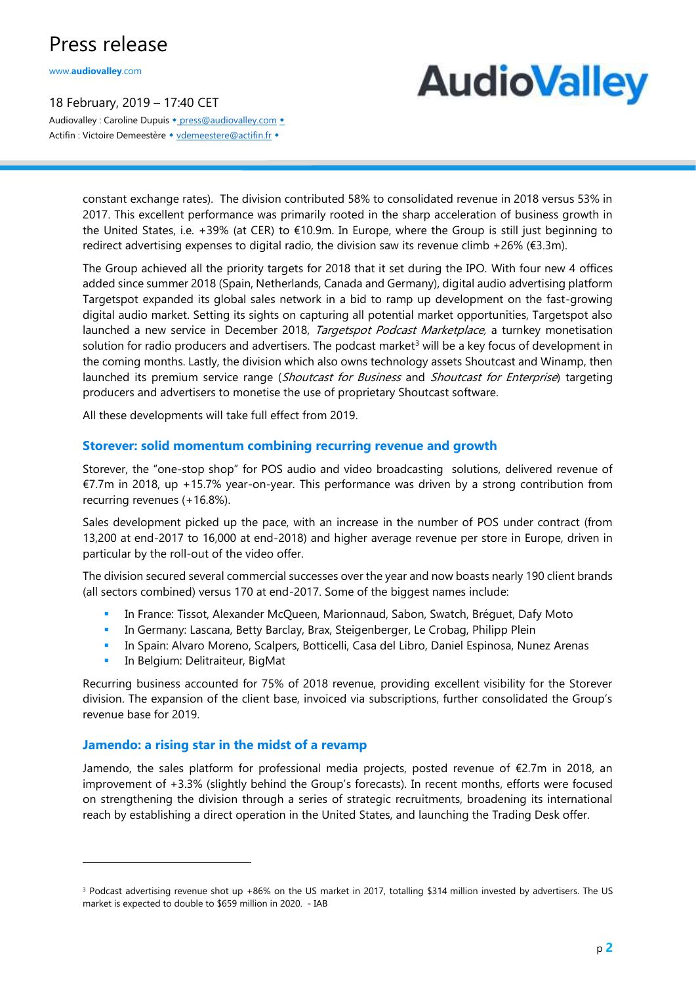## Press release

www.**[audiovalley](http://www.audiovalley.com/)**.com

18 February, 2019 – 17:40 CET Audiovalley : Caroline Dupuis • [press@audiovalley.com](mailto:press@audiovalley.com) • Actifin : Victoire Demeestère • [vdemeestere@actifin.fr](mailto:vdemeestere@actifin.fr?subject=AUDIOVALLEY%20Question) •

# **AudioValley**

constant exchange rates). The division contributed 58% to consolidated revenue in 2018 versus 53% in 2017. This excellent performance was primarily rooted in the sharp acceleration of business growth in the United States, i.e. +39% (at CER) to €10.9m. In Europe, where the Group is still just beginning to redirect advertising expenses to digital radio, the division saw its revenue climb +26% (€3.3m).

The Group achieved all the priority targets for 2018 that it set during the IPO. With four new 4 offices added since summer 2018 (Spain, Netherlands, Canada and Germany), digital audio advertising platform Targetspot expanded its global sales network in a bid to ramp up development on the fast-growing digital audio market. Setting its sights on capturing all potential market opportunities, Targetspot also launched a new service in December 2018, Targetspot Podcast Marketplace, a turnkey monetisation solution for radio producers and advertisers. The podcast market<sup>3</sup> will be a key focus of development in the coming months. Lastly, the division which also owns technology assets Shoutcast and Winamp, then launched its premium service range (Shoutcast for Business and Shoutcast for Enterprise) targeting producers and advertisers to monetise the use of proprietary Shoutcast software.

All these developments will take full effect from 2019.

#### **Storever: solid momentum combining recurring revenue and growth**

Storever, the "one-stop shop" for POS audio and video broadcasting solutions, delivered revenue of €7.7m in 2018, up +15.7% year-on-year. This performance was driven by a strong contribution from recurring revenues (+16.8%).

Sales development picked up the pace, with an increase in the number of POS under contract (from 13,200 at end-2017 to 16,000 at end-2018) and higher average revenue per store in Europe, driven in particular by the roll-out of the video offer.

The division secured several commercial successes over the year and now boasts nearly 190 client brands (all sectors combined) versus 170 at end-2017. Some of the biggest names include:

- **EXECT: In France: Tissot, Alexander McQueen, Marionnaud, Sabon, Swatch, Bréguet, Dafy Moto**
- In Germany: Lascana, Betty Barclay, Brax, Steigenberger, Le Crobag, Philipp Plein
- **· In Spain: Alvaro Moreno, Scalpers, Botticelli, Casa del Libro, Daniel Espinosa, Nunez Arenas**
- **·** In Belgium: Delitraiteur, BigMat

1

Recurring business accounted for 75% of 2018 revenue, providing excellent visibility for the Storever division. The expansion of the client base, invoiced via subscriptions, further consolidated the Group's revenue base for 2019.

#### **Jamendo: a rising star in the midst of a revamp**

Jamendo, the sales platform for professional media projects, posted revenue of €2.7m in 2018, an improvement of +3.3% (slightly behind the Group's forecasts). In recent months, efforts were focused on strengthening the division through a series of strategic recruitments, broadening its international reach by establishing a direct operation in the United States, and launching the Trading Desk offer.

<sup>&</sup>lt;sup>3</sup> Podcast advertising revenue shot up +86% on the US market in 2017, totalling \$314 million invested by advertisers. The US market is expected to double to \$659 million in 2020. - IAB